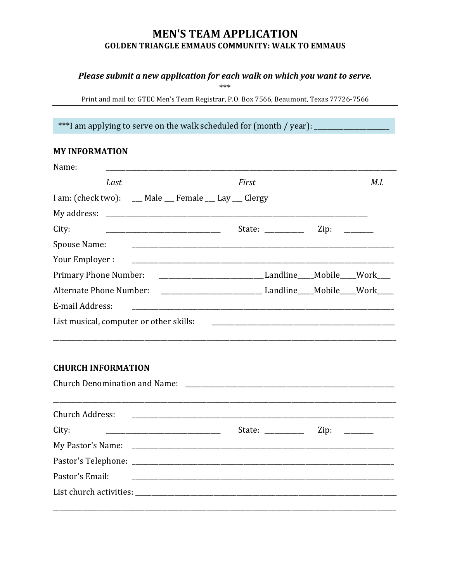# **MEN'S TEAM APPLICATION GOLDEN TRIANGLE EMMAUS COMMUNITY: WALK TO EMMAUS**

### Please submit a new application for each walk on which you want to serve.

\*\*\*

Print and mail to: GTEC Men's Team Registrar, P.O. Box 7566, Beaumont, Texas 77726-7566

\*\*\*I am applying to serve on the walk scheduled for (month / year): \_\_\_\_\_\_\_\_\_

## **MY INFORMATION**

| Name:                                                                                                                                     |       |                                                                            |      |      |
|-------------------------------------------------------------------------------------------------------------------------------------------|-------|----------------------------------------------------------------------------|------|------|
| Last                                                                                                                                      | First |                                                                            |      | M.I. |
| I am: (check two): __ Male __ Female __ Lay __ Clergy                                                                                     |       |                                                                            |      |      |
|                                                                                                                                           |       |                                                                            |      |      |
| City:                                                                                                                                     |       | State: $\frac{1}{1}$                                                       | Zip: |      |
| Spouse Name:                                                                                                                              |       |                                                                            |      |      |
| Your Employer :<br><u> 2008 - Jan Barnett, mars et al. (b. 1982)</u>                                                                      |       |                                                                            |      |      |
| Primary Phone Number:                                                                                                                     |       |                                                                            |      |      |
|                                                                                                                                           |       |                                                                            |      |      |
| E-mail Address:                                                                                                                           |       |                                                                            |      |      |
| List musical, computer or other skills:                                                                                                   |       |                                                                            |      |      |
| <b>CHURCH INFORMATION</b><br><b>Church Denomination and Name:</b>                                                                         |       |                                                                            |      |      |
| <b>Church Address:</b>                                                                                                                    |       |                                                                            |      |      |
| City:                                                                                                                                     |       | State: $\frac{1}{\sqrt{1-\frac{1}{2}}\cdot\frac{1}{\sqrt{1-\frac{1}{2}}}}$ | Zip: |      |
|                                                                                                                                           |       |                                                                            |      |      |
|                                                                                                                                           |       |                                                                            |      |      |
| Pastor's Email:<br><u> 1980 - Johann Barn, mars ann an t-Amhain ann an t-Amhain an t-Amhain an t-Amhain an t-Amhain an t-Amhain an t-</u> |       |                                                                            |      |      |
|                                                                                                                                           |       |                                                                            |      |      |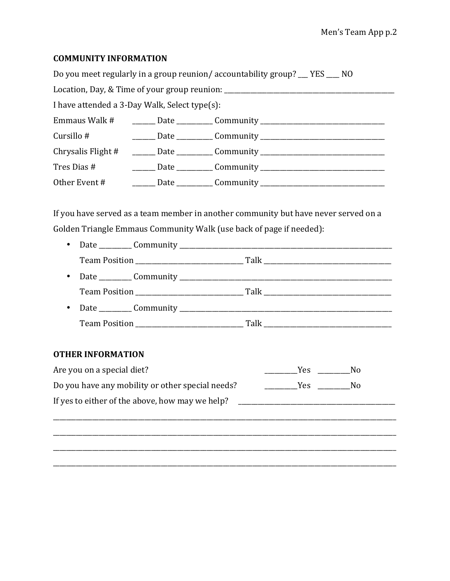#### **COMMUNITY INFORMATION**

| Do you meet regularly in a group reunion/accountability group? __ YES ___ NO     |  |                                                                                  |  |  |
|----------------------------------------------------------------------------------|--|----------------------------------------------------------------------------------|--|--|
| Location, Day, & Time of your group reunion: ___________________________________ |  |                                                                                  |  |  |
| I have attended a 3-Day Walk, Select type(s):                                    |  |                                                                                  |  |  |
|                                                                                  |  | Emmaus Walk # ________ Date ___________ Community ______________________________ |  |  |
|                                                                                  |  | Cursillo # _______________Date ______________Community _________________________ |  |  |
|                                                                                  |  | Chrysalis Flight # ______ Date _________ Community _____________________________ |  |  |
|                                                                                  |  |                                                                                  |  |  |
|                                                                                  |  |                                                                                  |  |  |

If you have served as a team member in another community but have never served on a Golden Triangle Emmaus Community Walk (use back of page if needed):

- 
- 
- 

#### **OTHER INFORMATION**

| Are you on a special diet?                       | Yes | Nο |
|--------------------------------------------------|-----|----|
| Do you have any mobility or other special needs? | Yes | Nο |
| If yes to either of the above, how may we help?  |     |    |